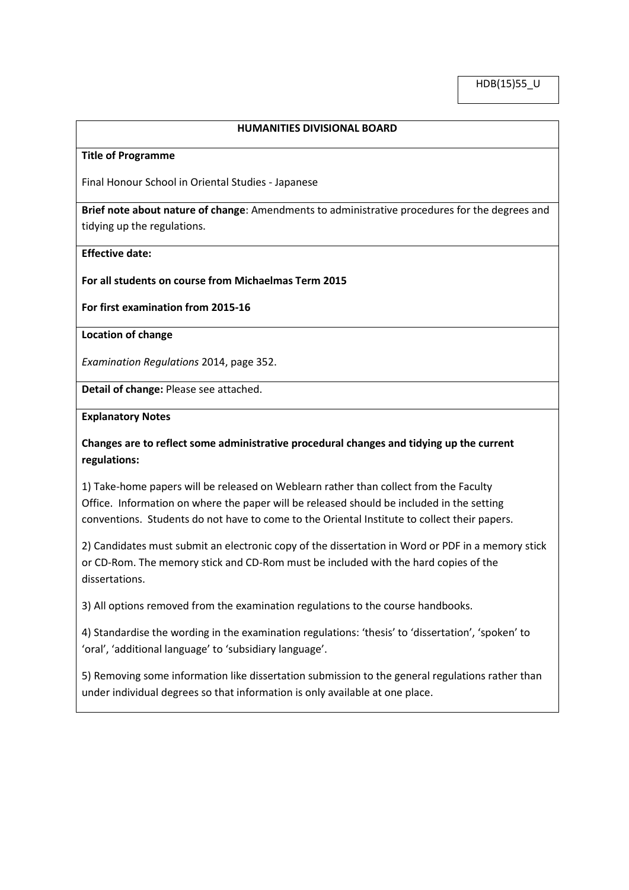## **HUMANITIES DIVISIONAL BOARD**

#### **Title of Programme**

Final Honour School in Oriental Studies - Japanese

**Brief note about nature of change**: Amendments to administrative procedures for the degrees and tidying up the regulations.

#### **Effective date:**

### **For all students on course from Michaelmas Term 2015**

### **For first examination from 2015-16**

### **Location of change**

*Examination Regulations* 2014, page 352.

**Detail of change:** Please see attached.

#### **Explanatory Notes**

# **Changes are to reflect some administrative procedural changes and tidying up the current regulations:**

1) Take-home papers will be released on Weblearn rather than collect from the Faculty Office. Information on where the paper will be released should be included in the setting conventions. Students do not have to come to the Oriental Institute to collect their papers.

2) Candidates must submit an electronic copy of the dissertation in Word or PDF in a memory stick or CD-Rom. The memory stick and CD-Rom must be included with the hard copies of the dissertations.

3) All options removed from the examination regulations to the course handbooks.

4) Standardise the wording in the examination regulations: 'thesis' to 'dissertation', 'spoken' to 'oral', 'additional language' to 'subsidiary language'.

5) Removing some information like dissertation submission to the general regulations rather than under individual degrees so that information is only available at one place.